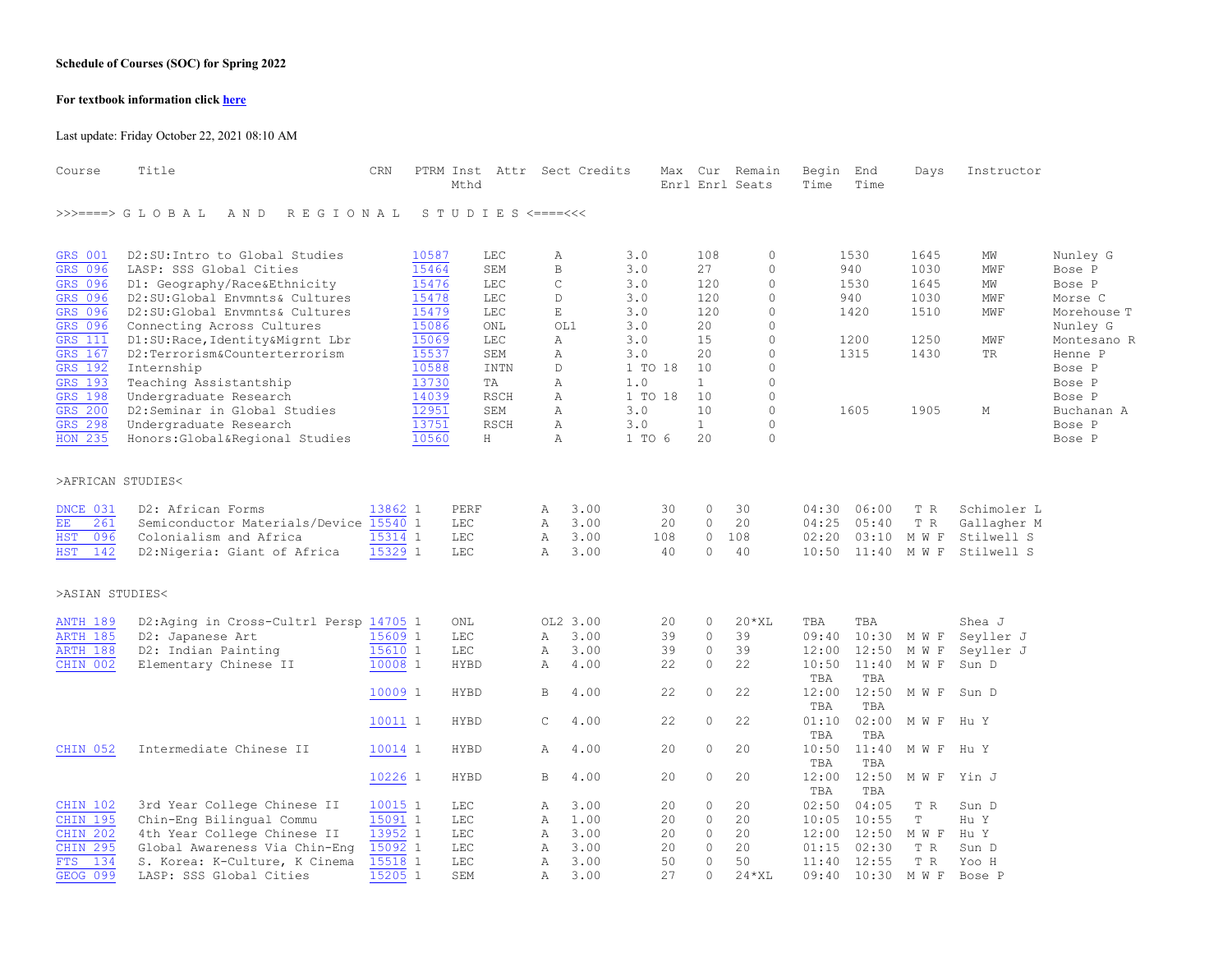## **Schedule of Courses (SOC) for Spring 2022**

## **For textbook information click [here](https://uvmbookstore.uvm.edu/buy_textbooks.asp)**

Last update: Friday October 22, 2021 08:10 AM

| Course               | Title                                     | CRN     | PTRM Inst Attr Sect Credits<br>Mthd |             |              |          |         | Max |              | Cur Remain<br>Enrl Enrl Seats | Begin<br>Time | End<br>Time | Days                   | Instructor  |             |
|----------------------|-------------------------------------------|---------|-------------------------------------|-------------|--------------|----------|---------|-----|--------------|-------------------------------|---------------|-------------|------------------------|-------------|-------------|
|                      | >>>====> G L O B A L<br>A N D<br>REGIONAL |         | S T U D I E S <====<<<              |             |              |          |         |     |              |                               |               |             |                        |             |             |
| <b>GRS 001</b>       | D2:SU: Intro to Global Studies            |         | 10587                               | LEC         | Α            |          | 3.0     |     | 108          | $\circ$                       |               | 1530        | 1645                   | MW          | Nunley G    |
| GRS 096              | LASP: SSS Global Cities                   |         | 15464                               | SEM         | B            |          | 3.0     |     | 27           | $\circ$                       |               | 940         | 1030                   | MWF         | Bose P      |
| GRS 096              | D1: Geography/Race&Ethnicity              |         | 15476                               | <b>LEC</b>  | C            |          | 3.0     |     | 120          | $\circ$                       |               | 1530        | 1645                   | MW          | Bose P      |
| GRS 096              | D2:SU:Global Envmnts& Cultures            |         | 15478                               | <b>LEC</b>  | D            |          | 3.0     |     | 120          | $\circ$                       |               | 940         | 1030                   | MWF         | Morse C     |
| GRS 096              | D2:SU:Global Envmnts& Cultures            |         | 15479                               | LEC         | $\mathbb E$  |          | 3.0     |     | 120          | $\circ$                       |               | 1420        | 1510                   | <b>MWF</b>  | Morehouse T |
| GRS 096              | Connecting Across Cultures                |         | 15086                               | ONL         |              | OL1      | 3.0     |     | 20           | $\Omega$                      |               |             |                        |             | Nunley G    |
| <b>GRS</b> 111       | D1:SU:Race, Identity&Migrnt Lbr           |         | 15069                               | <b>LEC</b>  | Α            |          | 3.0     |     | 15           | $\circ$                       |               | 1200        | 1250                   | MWF         | Montesano R |
| GRS 167              | D2:Terrorism&Counterterrorism             |         | 15537                               | SEM         | Α            |          | 3.0     |     | 20           | $\Omega$                      |               | 1315        | 1430                   | TR          | Henne P     |
| GRS 192              | Internship                                |         | 10588                               | <b>INTN</b> | D.           |          | 1 TO 18 |     | 10           | $\circ$                       |               |             |                        |             | Bose P      |
| GRS 193              | Teaching Assistantship                    |         | 13730                               | TA          | A            |          | 1.0     |     | $\mathbf{1}$ | $\Omega$                      |               |             |                        |             | Bose P      |
| GRS 198              | Undergraduate Research                    |         | 14039                               | <b>RSCH</b> | $\mathbb{A}$ |          | 1 TO 18 |     | 10           | $\Omega$                      |               |             |                        |             | Bose P      |
| GRS 200              | D2:Seminar in Global Studies              |         | 12951                               | SEM         | $\mathbb{A}$ |          | 3.0     |     | 10           | $\circ$                       |               | 1605        | 1905                   | М           | Buchanan A  |
| GRS 298              | Undergraduate Research                    |         | 13751                               | <b>RSCH</b> | $\mathbb{A}$ |          | 3.0     |     | $\mathbf{1}$ | $\circ$                       |               |             |                        |             | Bose P      |
| HON 235              | Honors: Global&Regional Studies           |         | 10560                               | H           | Α            |          | 1 TO 6  |     | 20           | $\circ$                       |               |             |                        |             | Bose P      |
| >AFRICAN STUDIES<    |                                           |         |                                     |             |              |          |         |     |              |                               |               |             |                        |             |             |
| DNCE 031             | D2: African Forms                         | 13862 1 | PERF                                |             | Α            | 3.00     |         | 30  | 0            | 30                            | 04:30         | 06:00       | T R                    | Schimoler L |             |
| 261<br>$\mathbf{EE}$ | Semiconductor Materials/Device 15540 1    |         | $_{\rm LEC}$                        |             | Α            | 3.00     |         | 20  | $\circ$      | 20                            | 04:25         | 05:40       | T R                    | Gallagher M |             |
| 096<br><b>HST</b>    | Colonialism and Africa                    | 15314 1 | <b>LEC</b>                          |             | Α            | 3.00     | 108     |     | $\circ$      | 108                           | 02:20         | 03:10       | $\mathbb M\,$ W $\,$ F | Stilwell S  |             |
| 142<br><b>HST</b>    | D2: Nigeria: Giant of Africa              | 15329 1 | <b>LEC</b>                          |             | Α            | 3.00     |         | 40  | $\circ$      | 40                            | 10:50         | 11:40       | M W F                  | Stilwell S  |             |
| >ASIAN STUDIES<      |                                           |         |                                     |             |              |          |         |     |              |                               |               |             |                        |             |             |
| <b>ANTH 189</b>      | D2:Aging in Cross-Cultrl Persp 14705 1    |         | ONL                                 |             |              | OL2 3.00 |         | 20  | $\circ$      | $20*XL$                       | TBA           | TBA         |                        | Shea J      |             |
| <b>ARTH 185</b>      | D2: Japanese Art                          | 15609 1 | $_{\rm LEC}$                        |             | Α            | 3.00     |         | 39  | $\circ$      | 39                            | 09:40         | 10:30       | M W F                  | Seyller J   |             |
| ARTH 188             | D2: Indian Painting                       | 15610 1 | LEC                                 |             | Α            | 3.00     |         | 39  | $\circ$      | 39                            | 12:00         | 12:50       | M W F                  | Seyller J   |             |
| CHIN 002             | Elementary Chinese II                     | 10008 1 | <b>HYBD</b>                         |             | Α            | 4.00     |         | 22  | $\circ$      | 22                            | 10:50         | 11:40       | M W F                  | Sun D       |             |
|                      |                                           |         |                                     |             |              |          |         |     |              |                               | TBA           | TBA         |                        |             |             |
|                      |                                           | 10009 1 | <b>HYBD</b>                         |             | В            | 4.00     |         | 22  | $\circ$      | 22                            | 12:00         | 12:50       | M W F                  | Sun D       |             |
|                      |                                           |         |                                     |             |              |          |         |     |              |                               | TBA           | TBA         |                        |             |             |
|                      |                                           | 10011 1 | <b>HYBD</b>                         |             | C            | 4.00     |         | 22  | $\circ$      | 22                            | 01:10         | 02:00       | M W F                  | Hu Y        |             |
|                      |                                           |         |                                     |             |              |          |         |     |              |                               | TBA           | TBA         |                        |             |             |
| CHIN 052             | Intermediate Chinese II                   | 10014 1 | <b>HYBD</b>                         |             | Α            | 4.00     |         | 20  | $\circ$      | 20                            | 10:50         | 11:40       | M W F                  | Hu Y        |             |
|                      |                                           |         |                                     |             |              |          |         |     |              |                               | TBA           | TBA         |                        |             |             |
|                      |                                           | 10226 1 | <b>HYBD</b>                         |             | В            | 4.00     |         | 20  | $\circ$      | 20                            | 12:00         | 12:50       | M W F                  | Yin J       |             |
|                      |                                           |         |                                     |             |              |          |         |     |              |                               | TBA           | TBA         |                        |             |             |
| CHIN 102             | 3rd Year College Chinese II               | 10015 1 | <b>LEC</b>                          |             | Α            | 3.00     |         | 20  | $\circ$      | 20                            | 02:50         | 04:05       | T R                    | Sun D       |             |
| CHIN 195             | Chin-Eng Bilingual Commu                  | 15091 1 | <b>LEC</b>                          |             | Α            | 1.00     |         | 20  | $\circ$      | 20                            | 10:05         | 10:55       | T                      | Hu Y        |             |
| CHIN 202             | 4th Year College Chinese II               | 13952 1 | $_{\rm LEC}$                        |             | Α            | 3.00     |         | 20  | $\circ$      | 20                            | 12:00         | 12:50       | M W F                  | Hu Y        |             |
| <b>CHIN 295</b>      | Global Awareness Via Chin-Eng             | 15092 1 | $_{\rm LEC}$                        |             | Α            | 3.00     |         | 20  | $\circ$      | 20                            | 01:15         | 02:30       | T R                    | Sun D       |             |
| 134<br><b>FTS</b>    | S. Korea: K-Culture, K Cinema             | 15518 1 | $_{\rm LEC}$                        |             | Α            | 3.00     |         | 50  | $\circ$      | 50                            | 11:40         | 12:55       | T R                    | Yoo H       |             |
| <b>GEOG 099</b>      | LASP: SSS Global Cities                   | 15205 1 | SEM                                 |             | Α            | 3.00     |         | 27  | $\Omega$     | $24*XL$                       | 09:40         | 10:30       | M W F                  | Bose P      |             |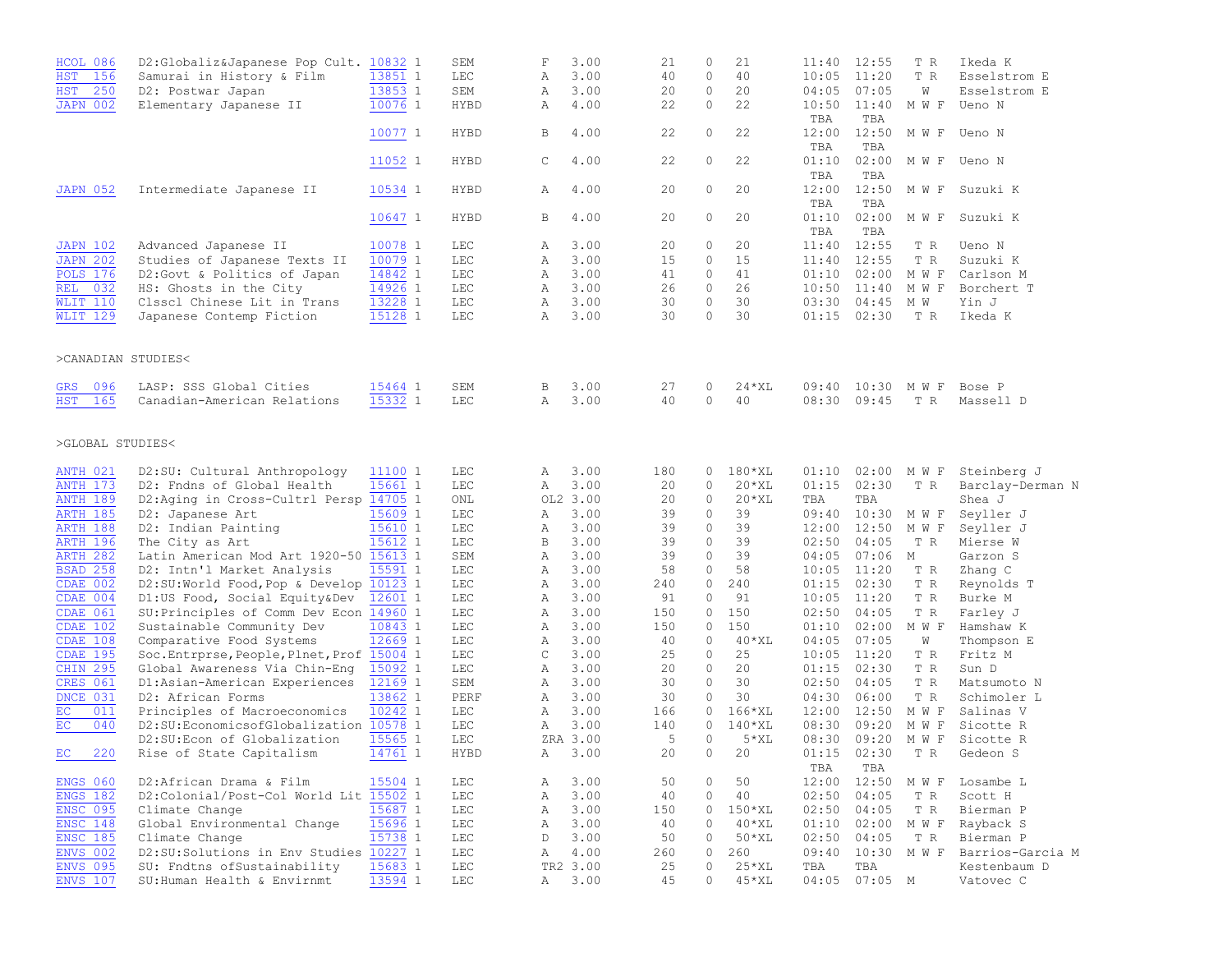| HCOL 086           | D2:Globaliz&Japanese Pop Cult. 10832 1     |           | SEM          | $\mathbf F$ | 3.00     | 21  | 0        | 21          |                 | 11:40 12:55     | T R   | Ikeda K                   |
|--------------------|--------------------------------------------|-----------|--------------|-------------|----------|-----|----------|-------------|-----------------|-----------------|-------|---------------------------|
| <b>HST</b><br>156  | Samurai in History & Film                  | 13851 1   | <b>LEC</b>   | Α           | 3.00     | 40  | $\circ$  | 40          | 10:05           | 11:20           | T R   | Esselstrom E              |
| <b>HST</b><br>250  | D2: Postwar Japan                          | 13853 1   | SEM          | Α           | 3.00     | 20  | $\circ$  | 20          | 04:05           | 07:05           | W     | Esselstrom E              |
| <b>JAPN 002</b>    | Elementary Japanese II                     | 10076 1   | HYBD         | Α           | 4.00     | 22  | $\circ$  | 22          | 10:50           | 11:40           | M W F | Ueno N                    |
|                    |                                            |           |              |             |          |     |          |             | TBA             | TBA             |       |                           |
|                    |                                            | 10077 1   | <b>HYBD</b>  | B           | 4.00     | 22  | 0        | 22          | 12:00           | 12:50           | M W F | Ueno N                    |
|                    |                                            |           |              |             |          |     |          |             | TBA             | TBA             |       |                           |
|                    |                                            |           |              |             |          | 22  | $\circ$  | 22          |                 |                 |       |                           |
|                    |                                            | 11052 1   | HYBD         | $\mathbb C$ | 4.00     |     |          |             | 01:10           | 02:00           |       | M W F Ueno N              |
|                    |                                            |           |              |             |          |     |          |             | TBA             | TBA             |       |                           |
| <b>JAPN 052</b>    | Intermediate Japanese II                   | 10534 1   | HYBD         | Α           | 4.00     | 20  | $\circ$  | 20          | 12:00           | 12:50           | M W F | Suzuki K                  |
|                    |                                            |           |              |             |          |     |          |             | TBA             | TBA             |       |                           |
|                    |                                            | 10647 1   | HYBD         | В           | 4.00     | 20  | 0        | 20          | 01:10           | 02:00           | M W F | Suzuki K                  |
|                    |                                            |           |              |             |          |     |          |             | TBA             | TBA             |       |                           |
| <b>JAPN 102</b>    | Advanced Japanese II                       | 10078 1   | LEC          | Α           | 3.00     | 20  | $\Omega$ | 20          | 11:40           | 12:55           | T R   | Ueno N                    |
| <b>JAPN 202</b>    | Studies of Japanese Texts II               | 10079 1   | LEC          | Α           | 3.00     | 15  | $\circ$  | 15          | 11:40           | 12:55           | T R   | Suzuki K                  |
| <b>POLS 176</b>    | D2:Govt & Politics of Japan                | 14842 1   | LEC          | Α           | 3.00     | 41  | $\circ$  | 41          | 01:10           | 02:00           | M W F | Carlson M                 |
| <b>REL 032</b>     | HS: Ghosts in the City                     | 14926 1   | LEC          | Α           | 3.00     | 26  | $\circ$  | 26          | 10:50           | 11:40           | M W F | Borchert T                |
| <b>WLIT 110</b>    | Clsscl Chinese Lit in Trans                | 13228 1   | LEC          | Α           | 3.00     | 30  | $\circ$  | 30          | 03:30           | $04:45$ M W     |       | Yin J                     |
| <b>WLIT 129</b>    | Japanese Contemp Fiction                   | 15128 1   | LEC          | Α           | 3.00     | 30  | $\circ$  | 30          | 01:15           | 02:30           | T R   | Ikeda K                   |
|                    |                                            |           |              |             |          |     |          |             |                 |                 |       |                           |
|                    |                                            |           |              |             |          |     |          |             |                 |                 |       |                           |
| >CANADIAN STUDIES< |                                            |           |              |             |          |     |          |             |                 |                 |       |                           |
|                    |                                            |           |              |             |          |     |          |             |                 |                 |       |                           |
|                    |                                            |           |              |             |          |     |          |             |                 |                 |       |                           |
| GRS 096            | LASP: SSS Global Cities                    | 15464 1   | SEM          | В           | 3.00     | 27  | 0        | $24$ * $XL$ |                 | 09:40 10:30 MWF |       | Bose P                    |
| HST<br>165         | Canadian-American Relations                | $15332$ 1 | LEC          | Α           | 3.00     | 40  | $\circ$  | 40          | 08:30           | 09:45           | T R   | Massell D                 |
|                    |                                            |           |              |             |          |     |          |             |                 |                 |       |                           |
|                    |                                            |           |              |             |          |     |          |             |                 |                 |       |                           |
| >GLOBAL STUDIES<   |                                            |           |              |             |          |     |          |             |                 |                 |       |                           |
|                    |                                            |           |              |             |          |     |          |             |                 |                 |       |                           |
| <b>ANTH 021</b>    | D2:SU: Cultural Anthropology               | 11100 1   | LEC          | Α           | 3.00     | 180 | 0        | $180*XL$    | 01:10           | 02:00           | M W F | Steinberg J               |
| <b>ANTH 173</b>    | D2: Fndns of Global Health                 | 15661 1   | $_{\rm LEC}$ | Α           | 3.00     | 20  | 0        | $20*XL$     | 01:15           | 02:30           | T R   | Barclay-Derman N          |
| <b>ANTH 189</b>    | D2:Aging in Cross-Cultrl Persp 14705 1     |           | ONL          |             | OL2 3.00 | 20  | 0        | $20*XL$     | TBA             | TBA             |       | Shea J                    |
| <b>ARTH 185</b>    | D2: Japanese Art                           | 15609 1   | LEC          | Α           | 3.00     | 39  | 0        | 39          | 09:40           | 10:30           | M W F | Seyller J                 |
| <b>ARTH 188</b>    | D2: Indian Painting                        | 15610 1   | LEC          | Α           | 3.00     | 39  | 0        | 39          | 12:00           | 12:50           | M W F | Seyller J                 |
| <b>ARTH 196</b>    | The City as Art                            | 15612 1   | LEC          | В           | 3.00     | 39  | $\circ$  | 39          | 02:50           | 04:05           | T R   | Mierse W                  |
| <b>ARTH 282</b>    | Latin American Mod Art 1920-50 15613 1     |           | SEM          | Α           | 3.00     | 39  | $\circ$  | 39          | 04:05           | 07:06           | М     | Garzon S                  |
| <b>BSAD 258</b>    | D2: Intn'l Market Analysis                 | 15591 1   | LEC          | Α           | 3.00     | 58  | 0        | 58          |                 | $10:05$ $11:20$ | T R   | Zhang C                   |
| CDAE 002           |                                            |           | LEC          |             | 3.00     | 240 | 0        | 240         | 01:15           | 02:30           |       |                           |
|                    | D2:SU:World Food, Pop & Develop 10123 1    |           |              | Α           |          |     |          |             |                 |                 | T R   | Reynolds T                |
| CDAE 004           | D1:US Food, Social Equity&Dev              | 12601 1   | LEC          | Α           | 3.00     | 91  | 0        | 91          |                 | $10:05$ $11:20$ | T R   | Burke M                   |
| CDAE 061           | SU: Principles of Comm Dev Econ 14960 1    |           | LEC          | Α           | 3.00     | 150 | 0        | 150         | 02:50           | 04:05           | T R   | Farley J                  |
| CDAE 102           | Sustainable Community Dev                  | 10843 1   | LEC          | Α           | 3.00     | 150 | 0        | 150         | 01:10           | 02:00           | M W F | Hamshaw K                 |
| CDAE 108           | Comparative Food Systems                   | 12669 1   | LEC          | Α           | 3.00     | 40  | 0        | $40*$ XL    | 04:05           | 07:05           | W     | Thompson E                |
| <b>CDAE 195</b>    | Soc. Entrprse, People, Plnet, Prof 15004 1 |           | LEC          | C           | 3.00     | 25  | 0        | 25          | $10:05$ $11:20$ |                 | T R   | Fritz M                   |
| <b>CHIN 295</b>    | Global Awareness Via Chin-Eng              | 15092 1   | LEC          | Α           | 3.00     | 20  | 0        | 20          | 01:15           | 02:30           | T R   | Sun D                     |
| <b>CRES 061</b>    | D1:Asian-American Experiences              | 12169 1   | SEM          | Α           | 3.00     | 30  | 0        | 30          | 02:50           | 04:05           | T R   | Matsumoto N               |
| DNCE 031           | D2: African Forms                          | 13862 1   | PERF         | Α           | 3.00     | 30  | 0        | 30          | 04:30           | 06:00           | T R   | Schimoler L               |
| EC<br>011          | Principles of Macroeconomics               | 10242 1   | LEC          | Α           | 3.00     | 166 | 0        | $166*XL$    | 12:00           | 12:50           | M W F | Salinas V                 |
| EC<br>040          | D2:SU:EconomicsofGlobalization 10578 1     |           | <b>LEC</b>   | Α           | 3.00     | 140 | $\circ$  | $140*$ XL   | 08:30           | 09:20           | M W F | Sicotte R                 |
|                    | D2:SU:Econ of Globalization                | 15565 1   | LEC          |             | ZRA 3.00 | 5   | $\circ$  | $5*XL$      | 08:30           | 09:20 MWF       |       | Sicotte R                 |
| EC 220             | Rise of State Capitalism                   | $14761$ 1 | ${\tt HYBD}$ |             | 3.00     | 20  | $\circ$  | 20          |                 | $01:15$ $02:30$ | T R   | Gedeon S                  |
|                    |                                            |           |              | A           |          |     |          |             |                 |                 |       |                           |
|                    |                                            |           |              |             |          |     |          |             | TBA             | TBA             |       |                           |
| ENGS 060           | D2:African Drama & Film                    | 15504 1   | LEC          | Α           | 3.00     | 50  | 0        | 50          |                 |                 |       | 12:00 12:50 MWF Losambe L |
| <b>ENGS 182</b>    | D2:Colonial/Post-Col World Lit 15502 1     |           | $_{\rm LEC}$ | Α           | 3.00     | 40  | $\circ$  | 40          | 02:50           | 04:05           | T R   | Scott H                   |
| <b>ENSC 095</b>    | Climate Change                             | 15687 1   | LEC          | Α           | 3.00     | 150 | 0        | $150*XL$    | 02:50           | 04:05           | T R   | Bierman P                 |
| <b>ENSC 148</b>    | Global Environmental Change                | 15696 1   | LEC          | Α           | 3.00     | 40  | $\circ$  | $40*XL$     |                 | 01:10 02:00 MWF |       | Rayback S                 |
| <b>ENSC 185</b>    | Climate Change                             | 15738 1   | LEC          | D           | 3.00     | 50  | $\circ$  | $50*XL$     | 02:50           | 04:05           | T R   | Bierman P                 |
| <b>ENVS 002</b>    | D2:SU:Solutions in Env Studies 10227 1     |           | LEC          | Α           | 4.00     | 260 | 0        | 260         | 09:40           | 10:30 MWF       |       | Barrios-Garcia M          |
| <b>ENVS 095</b>    | SU: Fndtns ofSustainability                | 15683 1   | LEC          |             | TR2 3.00 | 25  | 0        | $25*XL$     | TBA             | TBA             |       | Kestenbaum D              |
| <b>ENVS 107</b>    | SU: Human Health & Envirnmt                | 13594 1   | LEC          | Α           | 3.00     | 45  | $\Omega$ | $45*XL$     |                 | 04:05 07:05 M   |       | Vatovec C                 |
|                    |                                            |           |              |             |          |     |          |             |                 |                 |       |                           |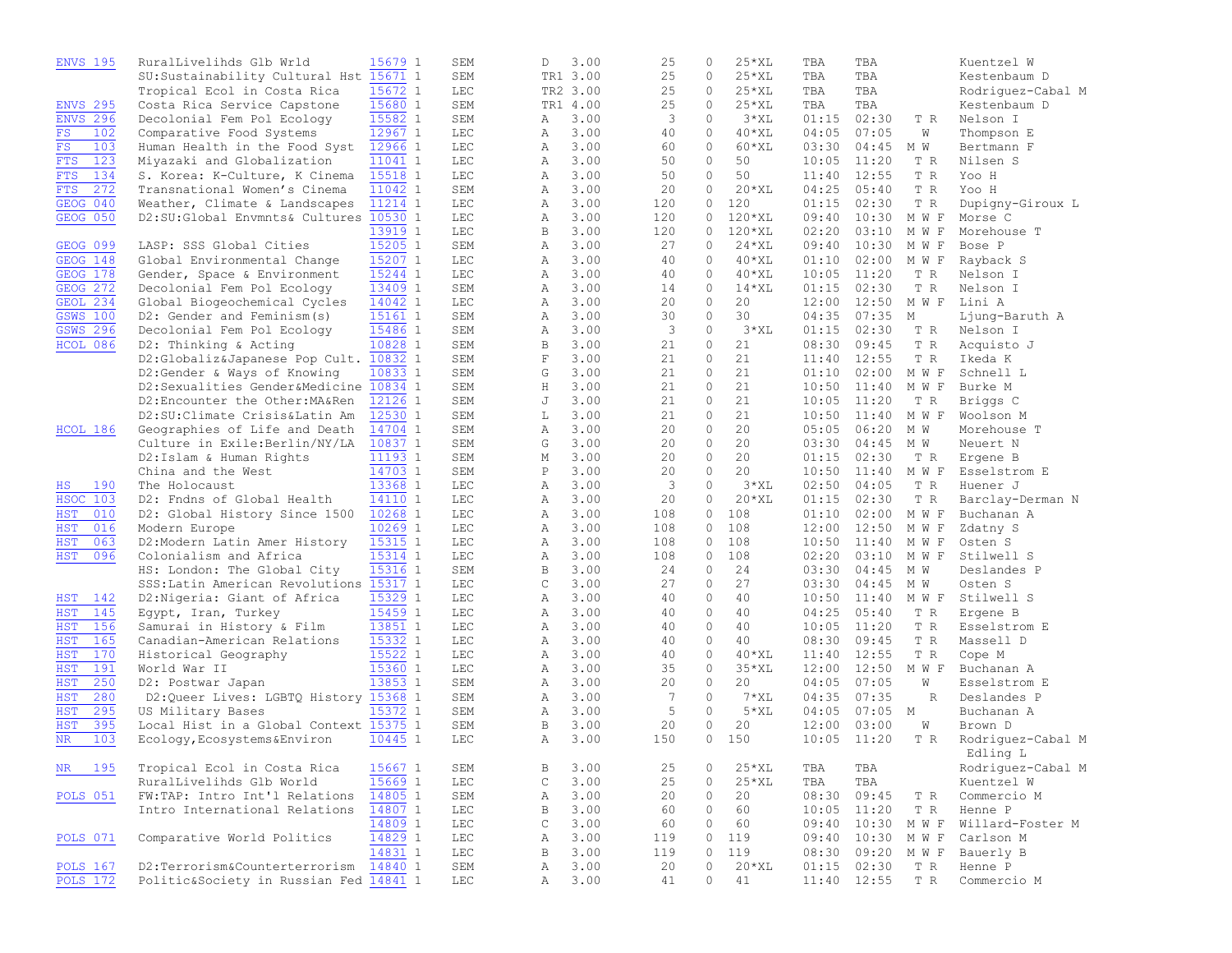| <b>ENVS 195</b>   | RuralLivelihds Glb Wrld                | 15679 1 | SEM | D            | 3.00     |     | 25              | 0       | $25*XL$     | TBA   | TBA             |           | Kuentzel W        |
|-------------------|----------------------------------------|---------|-----|--------------|----------|-----|-----------------|---------|-------------|-------|-----------------|-----------|-------------------|
|                   | SU: Sustainability Cultural Hst        | 15671 1 | SEM |              | TR1 3.00 |     | 25              | $\circ$ | $25*XL$     | TBA   | TBA             |           | Kestenbaum D      |
|                   | Tropical Ecol in Costa Rica            | 15672 1 | LEC |              | TR2 3.00 |     | 25              | 0       | $25*XL$     | TBA   | TBA             |           | Rodriquez-Cabal M |
| <b>ENVS 295</b>   | Costa Rica Service Capstone            | 15680 1 | SEM |              | TR1 4.00 |     | 25              | 0       | $25*XL$     | TBA   | TBA             |           | Kestenbaum D      |
| <b>ENVS 296</b>   | Decolonial Fem Pol Ecology             | 15582 1 | SEM | Α            | 3.00     |     | 3               | $\circ$ | $3*XL$      | 01:15 | 02:30           | T R       | Nelson I          |
| FS.<br>102        | Comparative Food Systems               | 12967 1 | LEC | Α            | 3.00     |     | 40              | $\circ$ | $40*$ XL    | 04:05 | 07:05           | W         | Thompson E        |
| FS<br>103         | Human Health in the Food Syst          | 12966 1 | LEC | Α            | 3.00     |     | 60              | $\circ$ | $60*XL$     | 03:30 | 04:45           | M W       | Bertmann F        |
| 123<br><b>FTS</b> | Miyazaki and Globalization             | 11041 1 | LEC | Α            | 3.00     |     | 50              | $\circ$ | 50          | 10:05 | 11:20           | T R       | Nilsen S          |
| 134               |                                        |         |     |              |          |     | 50              | $\circ$ | 50          |       | 12:55           |           |                   |
| <b>FTS</b>        | S. Korea: K-Culture, K Cinema          | 15518 1 | LEC | Α            | 3.00     |     |                 |         |             | 11:40 |                 | T R       | Yoo H             |
| 272<br><b>FTS</b> | Transnational Women's Cinema           | 11042 1 | SEM | Α            | 3.00     |     | 20              | $\circ$ | $20*XL$     | 04:25 | 05:40           | T R       | Yoo H             |
| GEOG 040          | Weather, Climate & Landscapes          | 11214 1 | LEC | Α            | 3.00     |     | 120             | $\circ$ | 120         | 01:15 | 02:30           | T R       | Dupigny-Giroux L  |
| GEOG 050          | D2:SU:Global Envmnts& Cultures         | 10530 1 | LEC | Α            | 3.00     |     | 120             | $\circ$ | 120*XL      | 09:40 | 10:30           | M W F     | Morse C           |
|                   |                                        | 13919 1 | LEC | B            | 3.00     |     | 120             | 0       | 120*XL      | 02:20 | 03:10           | M W F     | Morehouse T       |
| <b>GEOG 099</b>   | LASP: SSS Global Cities                | 15205 1 | SEM | Α            | 3.00     |     | 27              | 0       | $24$ * $XL$ | 09:40 | 10:30           | M W F     | Bose P            |
| <b>GEOG 148</b>   | Global Environmental Change            | 15207 1 | LEC | Α            | 3.00     |     | 40              | $\circ$ | $40*$ XL    | 01:10 | 02:00           | M W F     | Rayback S         |
| GEOG 178          | Gender, Space & Environment            | 15244 1 | LEC | Α            | 3.00     |     | 40              | $\circ$ | $40*$ XL    | 10:05 | 11:20           | T R       | Nelson I          |
| <b>GEOG 272</b>   | Decolonial Fem Pol Ecology             | 13409 1 | SEM | Α            | 3.00     |     | 14              | $\circ$ | $14*XL$     | 01:15 | 02:30           | T R       | Nelson I          |
| GEOL 234          | Global Biogeochemical Cycles           | 14042 1 | LEC | Α            | 3.00     |     | 20              | $\circ$ | 20          | 12:00 | 12:50 MWF       |           | Lini A            |
| <b>GSWS 100</b>   | D2: Gender and Feminism(s)             | 15161 1 | SEM | Α            | 3.00     |     | 30              | $\circ$ | 30          | 04:35 | 07:35           | М         | Ljung-Baruth A    |
| <b>GSWS 296</b>   | Decolonial Fem Pol Ecology             | 15486 1 | SEM | Α            | 3.00     |     | 3               | $\circ$ | $3*XL$      | 01:15 | 02:30           | T R       | Nelson I          |
| HCOL 086          | D2: Thinking & Acting                  | 10828 1 | SEM | B            | 3.00     |     | 21              | $\circ$ | 21          | 08:30 | 09:45           | T R       | Acquisto J        |
|                   | D2:Globaliz&Japanese Pop Cult.         | 10832 1 | SEM | $\mathbf F$  | 3.00     |     | 21              | 0       | 21          | 11:40 | 12:55           | T R       | Ikeda K           |
|                   | D2:Gender & Ways of Knowing            | 10833 1 | SEM | G            | 3.00     |     | 21              | 0       | 21          | 01:10 | 02:00           | M W F     | Schnell L         |
|                   | D2:Sexualities Gender&Medicine         | 10834 1 | SEM | Η            | 3.00     |     | 21              | $\circ$ | 21          | 10:50 | 11:40           | M W F     | Burke M           |
|                   | D2:Encounter the Other: MA&Ren         | 12126 1 | SEM | J            | 3.00     |     | 21              | $\circ$ | 21          | 10:05 | 11:20           | T R       | Briggs C          |
|                   | D2:SU: Climate Crisis&Latin Am         | 12530 1 | SEM | L            | 3.00     |     | 21              | $\circ$ | 21          | 10:50 | 11:40 MWF       |           | Woolson M         |
| HCOL 186          | Geographies of Life and Death          | 14704 1 | SEM | Α            | 3.00     |     | 20              | $\circ$ | 20          | 05:05 | 06:20           | M W       | Morehouse T       |
|                   | Culture in Exile: Berlin/NY/LA         | 10837 1 | SEM | G            | 3.00     |     | 20              | $\circ$ | 20          | 03:30 | $04:45$ M W     |           | Neuert N          |
|                   | D2:Islam & Human Rights                | 11193 1 | SEM | М            | 3.00     |     | 20              | $\circ$ | 20          | 01:15 | 02:30           | T R       | Ergene B          |
|                   | China and the West                     | 14703 1 |     | Ρ            | 3.00     |     | 20              | $\circ$ | 20          | 10:50 | 11:40           | M W F     |                   |
|                   |                                        |         | SEM |              |          |     |                 | $\circ$ | $3*XL$      |       |                 |           | Esselstrom E      |
| 190<br>ΗS         | The Holocaust                          | 13368 1 | LEC | Α            | 3.00     |     | 3               |         |             | 02:50 | 04:05           | T R       | Huener J          |
| <b>HSOC 103</b>   | D2: Fndns of Global Health             | 14110 1 | LEC | Α            | 3.00     |     | 20              | $\circ$ | $20*XL$     | 01:15 | 02:30           | T R       | Barclay-Derman N  |
| 010<br>HST        | D2: Global History Since 1500          | 10268 1 | LEC | Α            | 3.00     | 108 |                 | $\circ$ | 108         | 01:10 | 02:00           | M W F     | Buchanan A        |
| <b>HST</b><br>016 | Modern Europe                          | 10269 1 | LEC | Α            | 3.00     | 108 |                 | 0       | 108         | 12:00 | 12:50           | M W F     | Zdatny S          |
| <b>HST</b><br>063 | D2:Modern Latin Amer History           | 15315 1 | LEC | Α            | 3.00     | 108 |                 | 0       | 108         | 10:50 | 11:40 MWF       |           | Osten S           |
| <b>HST</b><br>096 | Colonialism and Africa                 | 15314 1 | LEC | Α            | 3.00     | 108 |                 | 0       | 108         | 02:20 |                 | 03:10 MWF | Stilwell S        |
|                   | HS: London: The Global City            | 15316 1 | SEM | В            | 3.00     |     | 24              | 0       | 24          | 03:30 | $04:45$ M W     |           | Deslandes P       |
|                   | SSS: Latin American Revolutions        | 15317 1 | LEC | $\mathsf C$  | 3.00     |     | 27              | $\circ$ | 27          | 03:30 | $04:45$ M W     |           | Osten S           |
| 142<br>HST        | D2: Nigeria: Giant of Africa           | 15329 1 | LEC | Α            | 3.00     |     | 40              | $\circ$ | 40          | 10:50 | 11:40 MWF       |           | Stilwell S        |
| <b>HST</b><br>145 | Egypt, Iran, Turkey                    | 15459 1 | LEC | Α            | 3.00     |     | 40              | $\circ$ | 40          | 04:25 | 05:40           | T R       | Ergene B          |
| <b>HST</b><br>156 | Samurai in History & Film              | 13851 1 | LEC | Α            | 3.00     |     | 40              | $\circ$ | 40          | 10:05 | 11:20           | T R       | Esselstrom E      |
| 165<br><b>HST</b> | Canadian-American Relations            | 15332 1 | LEC | Α            | 3.00     |     | 40              | $\circ$ | 40          | 08:30 | 09:45           | T R       | Massell D         |
| <b>HST</b><br>170 | Historical Geography                   | 15522 1 | LEC | Α            | 3.00     |     | 40              | $\circ$ | $40*XL$     | 11:40 | 12:55           | T R       | Cope M            |
| 191<br>HST        | World War II                           | 15360 1 | LEC | Α            | 3.00     |     | 35              | $\circ$ | $35*XL$     | 12:00 | 12:50           | M W F     | Buchanan A        |
| 250<br><b>HST</b> | D2: Postwar Japan                      | 13853 1 | SEM | Α            | 3.00     |     | 20              | $\circ$ | 20          | 04:05 | 07:05           | W         | Esselstrom E      |
| 280<br><b>HST</b> | D2:Queer Lives: LGBTQ History 15368 1  |         | SEM | Α            | 3.00     |     | $7\phantom{.0}$ | $\circ$ | $7*XL$      | 04:35 | 07:35           | R         | Deslandes P       |
| 295<br><b>HST</b> | US Military Bases                      | 15372 1 | SEM | Α            | 3.00     |     | 5               | $\circ$ | $5*XL$      | 04:05 | $07:05$ M       |           | Buchanan A        |
| 395<br><b>HST</b> | Local Hist in a Global Context 15375 1 |         | SEM | B            | 3.00     |     | 20              | 0       | 20          | 12:00 | 03:00           | W         | Brown D           |
| <b>NR</b><br>103  | Ecology, Ecosystems&Environ            | 10445 1 | LEC | Α            | 3.00     |     | 150             | 0       | 150         |       | $10:05$ $11:20$ | T R       | Rodriquez-Cabal M |
|                   |                                        |         |     |              |          |     |                 |         |             |       |                 |           | Edling L          |
| NR<br>195         | Tropical Ecol in Costa Rica            | 15667 1 | SEM | В            | 3.00     |     | 25              | 0       | $25*XL$     | TBA   | TBA             |           | Rodriquez-Cabal M |
|                   | RuralLivelihds Glb World               | 15669 1 | LEC | $\mathsf C$  | 3.00     |     | 25              | 0       | $25*XL$     | TBA   | TBA             |           | Kuentzel W        |
|                   | FW:TAP: Intro Int'l Relations          | 14805 1 |     | Α            | 3.00     |     | 20              | 0       | 20          | 08:30 | 09:45           |           |                   |
| <b>POLS 051</b>   |                                        |         | SEM |              |          |     |                 |         |             |       |                 | T R       | Commercio M       |
|                   | Intro International Relations          | 14807 1 | LEC | $\, {\bf B}$ | 3.00     |     | 60              | 0       | 60          | 10:05 | 11:20           | T R       | Henne P           |
|                   |                                        | 14809 1 | LEC | C            | 3.00     |     | 60              | 0       | 60          | 09:40 | 10:30 MWF       |           | Willard-Foster M  |
| POLS 071          | Comparative World Politics             | 14829 1 | LEC | Α            | 3.00     |     | 119             | 0       | 119         | 09:40 | 10:30           | M W F     | Carlson M         |
|                   |                                        | 14831 1 | LEC | B            | 3.00     |     | 119             | 0       | 119         | 08:30 | 09:20 M W F     |           | Bauerly B         |
| <b>POLS 167</b>   | D2:Terrorism&Counterterrorism          | 14840 1 | SEM | Α            | 3.00     |     | 20              | 0       | $20*XL$     | 01:15 | 02:30           | T R       | Henne P           |
| <b>POLS 172</b>   | Politic&Society in Russian Fed 14841 1 |         | LEC | Α            | 3.00     |     | 41              | 0       | 41          |       | 11:40 12:55     | T R       | Commercio M       |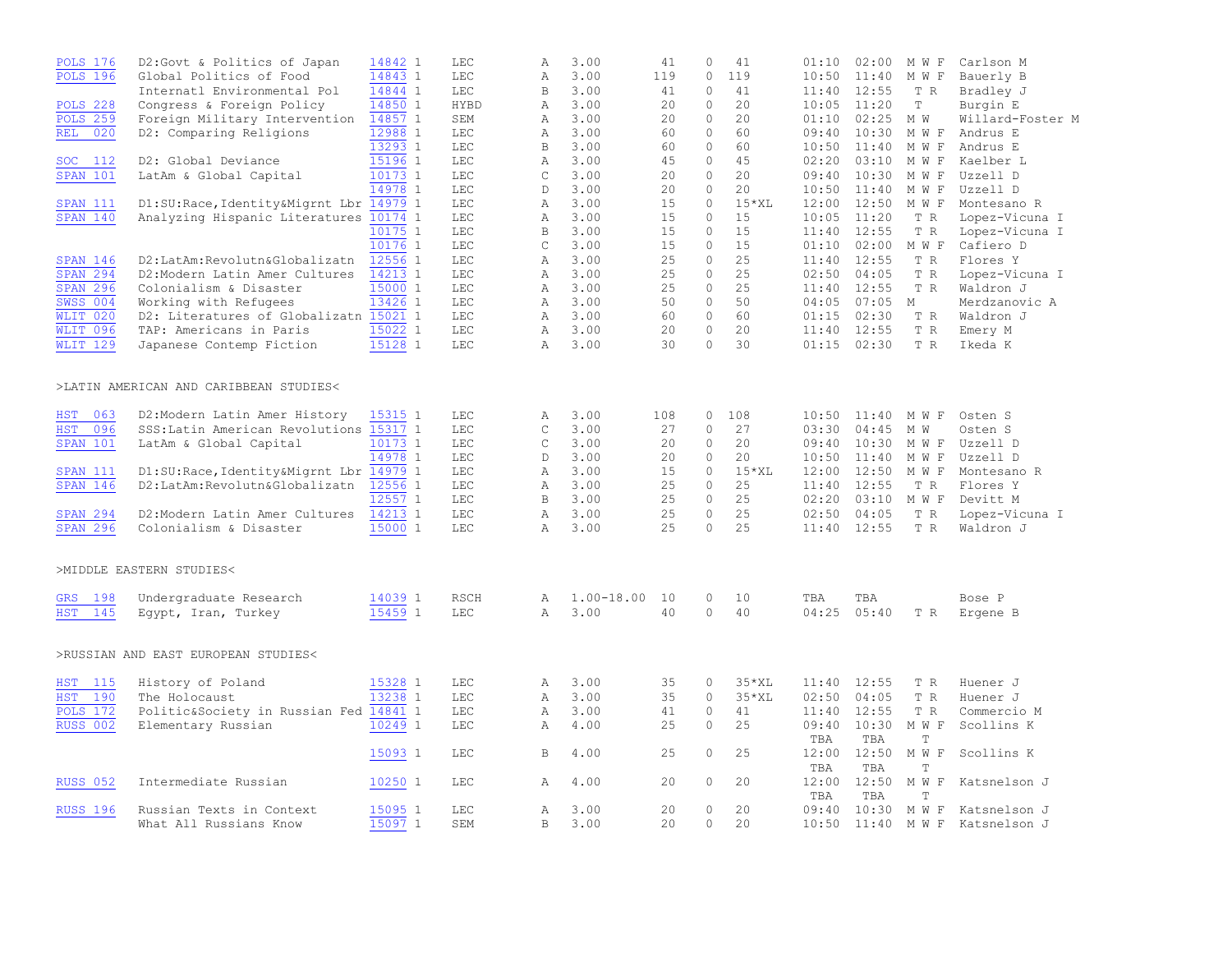| <b>POLS 176</b>   | D2:Govt & Politics of Japan             | 14842 1 | <b>LEC</b>   | Α            | 3.00           | 41  | $\circ$      | 41      | 01:10        | 02:00        | M W F                       | Carlson M        |
|-------------------|-----------------------------------------|---------|--------------|--------------|----------------|-----|--------------|---------|--------------|--------------|-----------------------------|------------------|
| <b>POLS 196</b>   | Global Politics of Food                 | 14843 1 | $_{\rm LEC}$ | Α            | 3.00           | 119 | $\circ$      | 119     | 10:50        | 11:40        | M W F                       | Bauerly B        |
|                   | Internatl Environmental Pol             | 14844 1 | $_{\rm LEC}$ | $\, {\bf B}$ | 3.00           | 41  | $\circ$      | 41      | 11:40        | 12:55        | T R                         | Bradley J        |
| <b>POLS 228</b>   | Congress & Foreign Policy               | 14850 1 | <b>HYBD</b>  | Α            | 3.00           | 20  | $\circ$      | 20      | 10:05        | 11:20        | $\mathbb T$                 | Burgin E         |
| <b>POLS 259</b>   | Foreign Military Intervention           | 14857 1 | SEM          | Α            | 3.00           | 20  | $\circ$      | 20      | 01:10        | 02:25        | M W                         | Willard-Foster M |
| 020<br>REL        | D2: Comparing Religions                 | 12988 1 | $_{\rm LEC}$ | $\mathbb{A}$ | 3.00           | 60  | $\circ$      | 60      | 09:40        | 10:30        | M W F                       | Andrus E         |
|                   |                                         | 13293 1 | <b>LEC</b>   | B            | 3.00           | 60  | $\Omega$     | 60      | 10:50        | 11:40        | M W F                       | Andrus E         |
| SOC 112           | D2: Global Deviance                     | 15196 1 | LEC          | Α            | 3.00           | 45  | $\circ$      | 45      | 02:20        | 03:10        | M W F                       | Kaelber L        |
| <b>SPAN 101</b>   | LatAm & Global Capital                  | 10173 1 | <b>LEC</b>   | $\mathsf{C}$ | 3.00           | 20  | $\circ$      | 20      | 09:40        | 10:30        | M W F                       | Uzzell D         |
|                   |                                         | 14978 1 | LEC          | D            | 3.00           | 20  | $\circ$      | 20      | 10:50        | 11:40        | M W F                       | Uzzell D         |
| <b>SPAN 111</b>   | D1:SU:Race,Identity&Migrnt Lbr          | 14979 1 | $_{\rm LEC}$ | Α            | 3.00           | 15  | $\circ$      | $15*XL$ | 12:00        | 12:50        | M W F                       | Montesano R      |
| <b>SPAN 140</b>   | Analyzing Hispanic Literatures          | 10174 1 | LEC          | $\mathbb{A}$ | 3.00           | 15  | $\Omega$     | 15      | 10:05        | 11:20        | T R                         | Lopez-Vicuna I   |
|                   |                                         | 10175 1 | LEC          | $\,$ B       | 3.00           | 15  | $\circ$      | 15      | 11:40        | 12:55        | T R                         | Lopez-Vicuna I   |
|                   |                                         | 10176 1 | LEC          | $\mathsf C$  | 3.00           | 15  | $\circ$      | 15      | 01:10        | 02:00        | M W F                       | Cafiero D        |
| <b>SPAN 146</b>   | D2:LatAm:Revolutn&Globalizatn           | 12556 1 | LEC          | $\mathbb{A}$ | 3.00           | 25  | $\circ$      | 25      | 11:40        | 12:55        | T R                         | Flores Y         |
| <b>SPAN 294</b>   | D2:Modern Latin Amer Cultures           | 14213 1 | LEC          | Α            | 3.00           | 25  | $\circ$      | 25      | 02:50        | 04:05        | T R                         | Lopez-Vicuna I   |
| <b>SPAN 296</b>   | Colonialism & Disaster                  | 15000 1 | <b>LEC</b>   | Α            | 3.00           | 25  | $\mathbf{0}$ | 25      | 11:40        | 12:55        | T R                         | Waldron J        |
| <b>SWSS 004</b>   | Working with Refugees                   | 13426 1 | <b>LEC</b>   | $\mathbb{A}$ | 3.00           | 50  | $\circ$      | 50      | 04:05        | 07:05        | M                           | Merdzanovic A    |
| WLIT 020          | D2: Literatures of Globalizatn 15021 1  |         | $_{\rm LEC}$ | Α            | 3.00           | 60  | $\circ$      | 60      | 01:15        | 02:30        | T R                         | Waldron J        |
| WLIT 096          | TAP: Americans in Paris                 | 15022 1 | <b>LEC</b>   | $\mathbb{A}$ | 3.00           | 20  | $\circ$      | 20      | 11:40        | 12:55        | T R                         | Emery M          |
| <b>WLIT 129</b>   | Japanese Contemp Fiction                | 15128 1 | LEC          | $\mathbb{A}$ | 3.00           | 30  | $\Omega$     | 30      | 01:15        | 02:30        | T R                         | Ikeda K          |
|                   |                                         |         |              |              |                |     |              |         |              |              |                             |                  |
|                   | >LATIN AMERICAN AND CARIBBEAN STUDIES<  |         |              |              |                |     |              |         |              |              |                             |                  |
| 063<br><b>HST</b> | D2:Modern Latin Amer History            | 15315 1 | <b>LEC</b>   | Α            | 3.00           | 108 | $\circ$      | 108     | 10:50        | 11:40        | M W F                       | Osten S          |
| <b>HST</b><br>096 | SSS: Latin American Revolutions         | 15317 1 | LEC          | $\mathsf C$  | 3.00           | 27  | $\circ$      | 27      | 03:30        | 04:45        | M W                         | Osten S          |
| <b>SPAN 101</b>   | LatAm & Global Capital                  | 10173 1 | <b>LEC</b>   | C            | 3.00           | 20  | 0            | 20      | 09:40        | 10:30        | M W F                       | Uzzell D         |
|                   |                                         | 14978 1 | <b>LEC</b>   | D            | 3.00           | 20  | $\circ$      | 20      | 10:50        | 11:40        | M W F                       | Uzzell D         |
| <b>SPAN 111</b>   | D1:SU:Race, Identity&Migrnt Lbr 14979 1 |         | $_{\rm LEC}$ | Α            | 3.00           | 15  | $\circ$      | $15*XL$ | 12:00        | 12:50        | M W F                       | Montesano R      |
| <b>SPAN 146</b>   | D2:LatAm:Revolutn&Globalizatn           | 12556 1 | <b>LEC</b>   | $\mathbb{A}$ | 3.00           | 25  | $\circ$      | 25      | 11:40        | 12:55        | T R                         | Flores Y         |
|                   |                                         | 12557 1 | LEC          | $\mathbf B$  | 3.00           | 25  | $\circ$      | 25      | 02:20        | 03:10        | M W F                       | Devitt M         |
| <b>SPAN 294</b>   | D2:Modern Latin Amer Cultures           | 14213 1 | $_{\rm LEC}$ | Α            | 3.00           | 25  | $\circ$      | 25      | 02:50        | 04:05        | T R                         | Lopez-Vicuna I   |
| <b>SPAN 296</b>   | Colonialism & Disaster                  | 15000 1 | <b>LEC</b>   | $\mathbb{A}$ | 3.00           | 25  | $\Omega$     | 25      | 11:40        | 12:55        | T R                         | Waldron J        |
|                   | >MIDDLE EASTERN STUDIES<                |         |              |              |                |     |              |         |              |              |                             |                  |
| 198<br>GRS        | Undergraduate Research                  | 14039 1 | <b>RSCH</b>  | Α            | $1.00 - 18.00$ | 10  | 0            | 10      | TBA          | TBA          |                             | Bose P           |
| <b>HST</b><br>145 | Egypt, Iran, Turkey                     | 15459 1 | <b>LEC</b>   | $\mathbb{A}$ | 3.00           | 40  | $\circ$      | 40      | 04:25        | 05:40        | T R                         | Ergene B         |
|                   | >RUSSIAN AND EAST EUROPEAN STUDIES<     |         |              |              |                |     |              |         |              |              |                             |                  |
| 115<br>HST        | History of Poland                       | 15328 1 | <b>LEC</b>   | Α            | 3.00           | 35  | $\circ$      | $35*XL$ | 11:40        | 12:55        | T R                         | Huener J         |
| 190<br><b>HST</b> | The Holocaust                           | 13238 1 | $_{\rm LEC}$ | Α            | 3.00           | 35  | $\circ$      | $35*XL$ | 02:50        | 04:05        | T R                         | Huener J         |
| <b>POLS 172</b>   | Politic&Society in Russian Fed 14841 1  |         | <b>LEC</b>   | Α            | 3.00           | 41  | $\circ$      | 41      | 11:40        | 12:55        | T R                         | Commercio M      |
| <b>RUSS 002</b>   | Elementary Russian                      | 10249 1 | <b>LEC</b>   | Α            | 4.00           | 25  | $\circ$      | 25      | 09:40<br>TBA | 10:30<br>TBA | M W F<br>T                  | Scollins K       |
|                   |                                         | 15093 1 | LEC          | B            | 4.00           | 25  | 0            | 25      | 12:00<br>TBA | 12:50<br>TBA | M W<br>$\mathbb F$<br>T     | Scollins K       |
| <b>RUSS 052</b>   | Intermediate Russian                    | 10250 1 | LEC          | Α            | 4.00           | 20  | 0            | 20      | 12:00<br>TBA | 12:50<br>TBA | $M$ $W$<br>$\mathbf F$<br>T | Katsnelson J     |
| <b>RUSS 196</b>   | Russian Texts in Context                | 15095 1 | <b>LEC</b>   | Α            | 3.00           | 20  | $\circ$      | 20      | 09:40        | 10:30        | M W F                       | Katsnelson J     |
|                   | What All Russians Know                  | 15097 1 | <b>SEM</b>   | B            | 3.00           | 20  | $\circ$      | 20      | 10:50        | 11:40        | M W F                       | Katsnelson J     |
|                   |                                         |         |              |              |                |     |              |         |              |              |                             |                  |